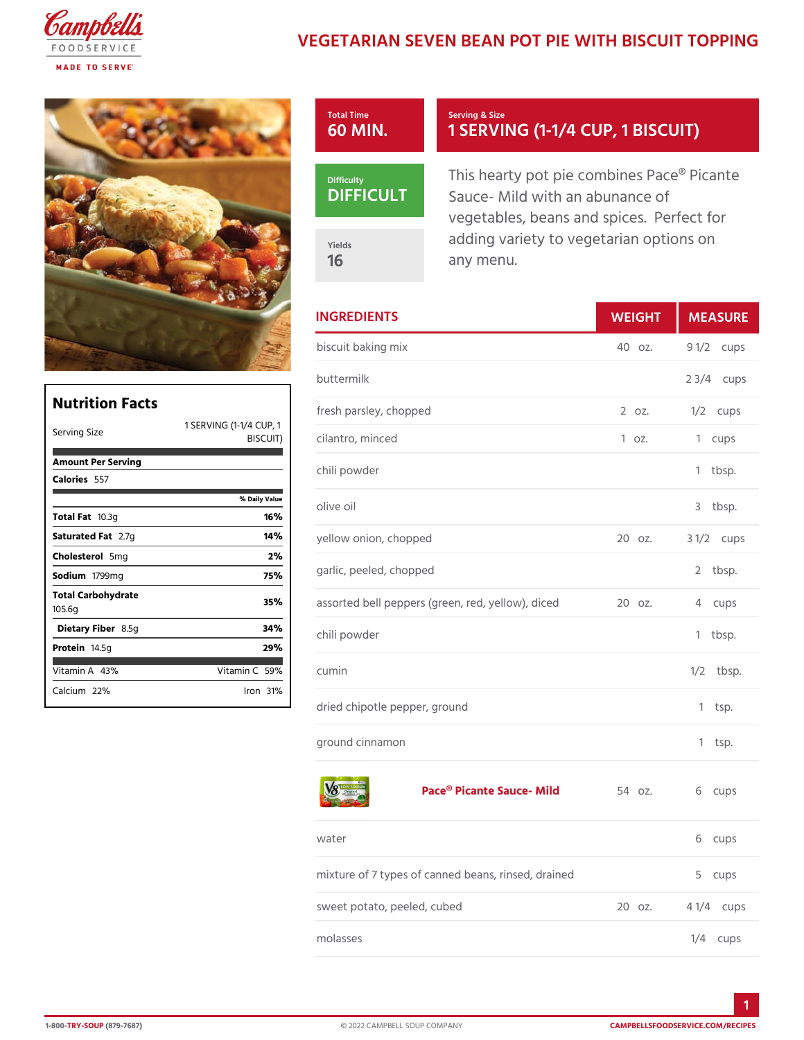## VEGETARIAN SEVEN BEAN POT PIE WIT

| Total Time                   | Serving & Size                                                                                      |
|------------------------------|-----------------------------------------------------------------------------------------------------|
| 60 MIN.                      | 1 SERVING (1-1/4 CUP,                                                                               |
| Difficulty<br><b>DIFFICU</b> | This hearty pot pie combines Pa<br>Sauce - Mild with an abunance o<br>vegetables, beans and spices. |
| Yields                       | adding variety to vegetarian op                                                                     |
| 16                           | any menu.                                                                                           |

|                      | <b>INGREDIENTS</b>                                                      | WEIGH  | MEASU                |
|----------------------|-------------------------------------------------------------------------|--------|----------------------|
|                      | biscuit baking mix                                                      | 40 oz. | 9 1/2cups            |
|                      | buttermilk                                                              |        | $2 \frac{3}{4}$ cups |
|                      | fresh parsley, chopped                                                  |        | 2 oz. 1/2 cups       |
|                      | ING (1- <mark>1/4 <del>CUP, 1</del></mark><br>BISCUIT) cilantro, minced | 1 oz.  | 1 cups               |
|                      | chili powder                                                            |        | $1$ tbsp.            |
| % Daily Value<br>16% | olive oil                                                               |        | 3 tbsp.              |
| 14 %                 | yellow onion, chopped                                                   |        | 20 oz. 3 1/2cups     |
| 2%<br>75%            | garlic, peeled, chopped                                                 |        | 2 tbsp.              |
| 35%                  | assorted bell peppers (green, red, y2e0loozv.), di4cecdups              |        |                      |
| 34%<br>29%           | chili powder                                                            |        | $1$ tbsp.            |
| a m i n 5 <b>0</b> % | cumin                                                                   |        | $1/2$ tbsp.          |
| Iron31%              | dried chipotle pepper, ground                                           |        | 1 tsp.               |
|                      | ground cinnamon                                                         |        | $1$ tsp.             |

## [Pace® Picante S](https://www.campbellsfoodservice.com/product/low-sodium-100-vegetable-juice)auce- Mi#dbz. 6 cups

| water                                                   | 6 cups           |
|---------------------------------------------------------|------------------|
| mixture of 7 types of canned beans, rinsed, d5racnumeds |                  |
| sweet potato, peeled, cubed                             | 20 oz. 4 1/4cups |
| molasses                                                | $1/4$ cups       |

| Nutrition Facts        |                                     |                  |
|------------------------|-------------------------------------|------------------|
|                        |                                     | fresh            |
|                        | 1 SERVING (1-11/4 <del>CUP, 1</del> |                  |
| Serving Size           |                                     | BISCUIT) cilanti |
| Amount Per Serving     |                                     |                  |
|                        |                                     | chili p          |
| Calorie5s57            |                                     |                  |
|                        | % Daily Vallue                      | olive (          |
| $Total$ $F$ $a$ $0.3g$ | 16%                                 |                  |
| Saturated 2F. atg      | 14 %                                | yellow           |
| Choleste5 onlg         | 2%                                  |                  |
| Sodium 799mg           | 75%                                 | garlic           |
| Total Carbohydrate     | 35%                                 |                  |
| 105.6g                 | assort                              |                  |
| Dietary F8ib5egr       | 34%                                 | chili p          |
| Proteifi4.5g           | 29%                                 |                  |
|                        |                                     |                  |
| Vitamin4A8%            | Vitamin50%                          | cumin            |
| Calciu2n2%             | $l$ ron $31$ $\%$                   |                  |
|                        |                                     | attached and     |